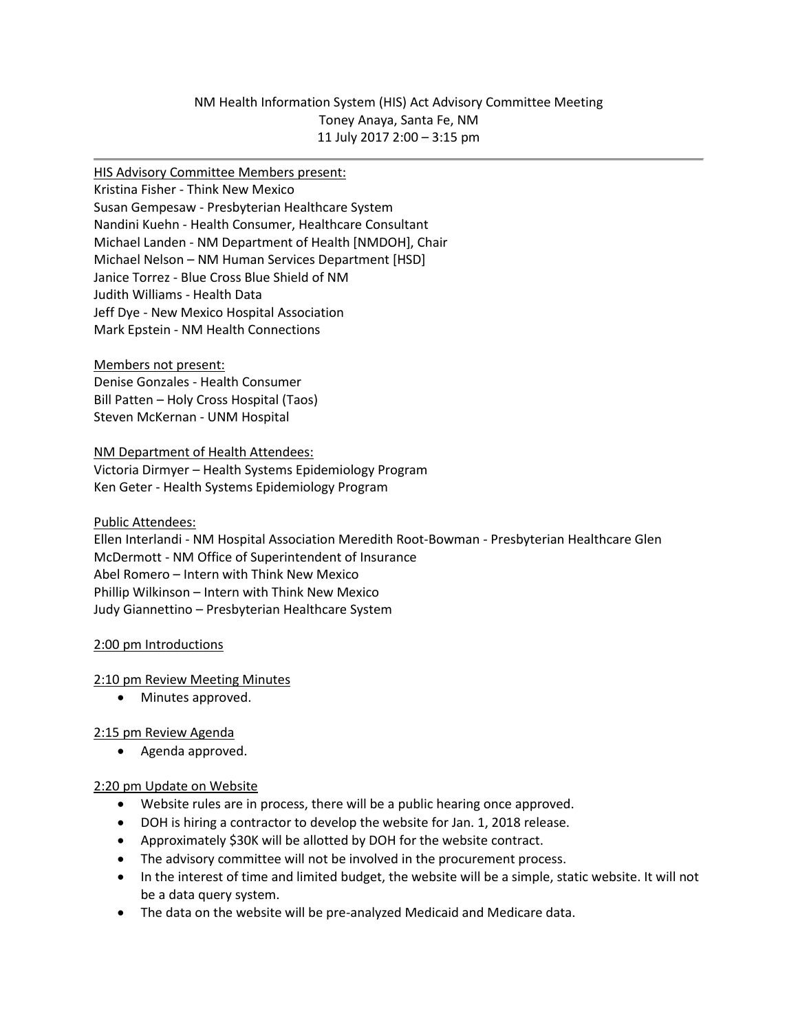# NM Health Information System (HIS) Act Advisory Committee Meeting Toney Anaya, Santa Fe, NM 11 July 2017 2:00 – 3:15 pm

#### HIS Advisory Committee Members present:

Kristina Fisher - Think New Mexico Susan Gempesaw - Presbyterian Healthcare System Nandini Kuehn - Health Consumer, Healthcare Consultant Michael Landen - NM Department of Health [NMDOH], Chair Michael Nelson – NM Human Services Department [HSD] Janice Torrez - Blue Cross Blue Shield of NM Judith Williams - Health Data Jeff Dye - New Mexico Hospital Association Mark Epstein - NM Health Connections

Members not present: Denise Gonzales - Health Consumer Bill Patten – Holy Cross Hospital (Taos) Steven McKernan - UNM Hospital

#### NM Department of Health Attendees:

Victoria Dirmyer – Health Systems Epidemiology Program Ken Geter - Health Systems Epidemiology Program

Public Attendees:

Ellen Interlandi - NM Hospital Association Meredith Root-Bowman - Presbyterian Healthcare Glen McDermott - NM Office of Superintendent of Insurance Abel Romero – Intern with Think New Mexico Phillip Wilkinson – Intern with Think New Mexico Judy Giannettino – Presbyterian Healthcare System

## 2:00 pm Introductions

## 2:10 pm Review Meeting Minutes

• Minutes approved.

## 2:15 pm Review Agenda

• Agenda approved.

## 2:20 pm Update on Website

- Website rules are in process, there will be a public hearing once approved.
- DOH is hiring a contractor to develop the website for Jan. 1, 2018 release.
- Approximately \$30K will be allotted by DOH for the website contract.
- The advisory committee will not be involved in the procurement process.
- In the interest of time and limited budget, the website will be a simple, static website. It will not be a data query system.
- The data on the website will be pre-analyzed Medicaid and Medicare data.